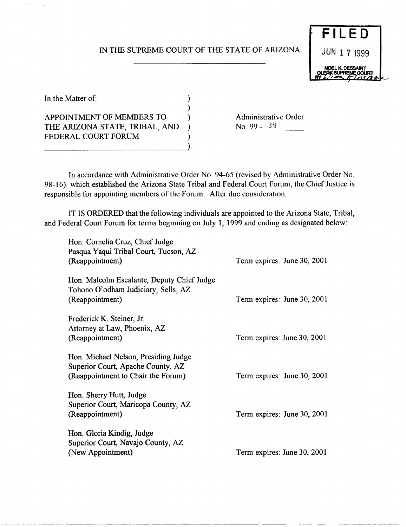## IN THE SUPREME COURT OF THE STATE OF ARIZONA JUN 1 7 1999

)



In the Matter of: (1)

APPOINTMENT OF MEMBERS TO ) THE ARIZONA STATE, TRIBAL, AND FEDERAL COURT FORUM ----------------------------) Administrative Order No. 99 - 39

In accordance with Administrative Order No. 94-65 (revised by Administrative Order No. 98-16), which established the Arizona State Tribal and Federal Court Forum, the Chief Justice is responsible for appointing members of the Forum. After due consideration,

IT IS ORDERED that the following individuals are appointed to the Arizona State, Tribal, and Federal Court Forum for terms beginning on July 1, 1999 and ending as designated below:

| Hon. Cornelia Cruz, Chief Judge<br>Pasqua Yaqui Tribal Court, Tucson, AZ |                             |
|--------------------------------------------------------------------------|-----------------------------|
| (Reappointment)                                                          | Term expires: June 30, 2001 |
| Hon. Malcolm Escalante, Deputy Chief Judge                               |                             |
| Tohono O'odham Judiciary, Sells, AZ                                      |                             |
| (Reappointment)                                                          | Term expires: June 30, 2001 |
| Frederick K. Steiner, Jr.                                                |                             |
| Attorney at Law, Phoenix, AZ                                             |                             |
| (Reappointment)                                                          | Term expires: June 30, 2001 |
| Hon. Michael Nelson, Presiding Judge                                     |                             |
| Superior Court, Apache County, AZ                                        |                             |
| (Reappointment to Chair the Forum)                                       | Term expires: June 30, 2001 |
|                                                                          |                             |
| Hon. Sherry Hutt, Judge<br>Superior Court, Maricopa County, AZ           |                             |
| (Reappointment)                                                          | Term expires: June 30, 2001 |
|                                                                          |                             |
| Hon. Gloria Kindig, Judge<br>Superior Court, Navajo County, AZ           |                             |
| (New Appointment)                                                        | Term expires: June 30, 2001 |
|                                                                          |                             |